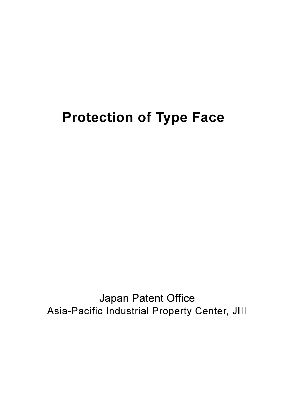## **Protection of Type Face**

Japan Patent Office Asia-Pacific Industrial Property Center, JIII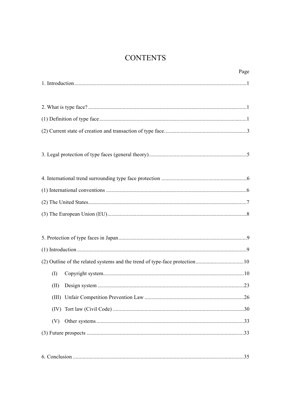### **CONTENTS**

|       | Page |
|-------|------|
|       |      |
|       |      |
|       |      |
|       |      |
|       |      |
|       |      |
|       |      |
|       |      |
|       |      |
|       |      |
|       |      |
|       |      |
|       |      |
|       |      |
|       |      |
|       |      |
| (I)   |      |
|       |      |
| (III) |      |
| (IV)  |      |
| (V)   |      |
|       |      |
|       |      |
|       |      |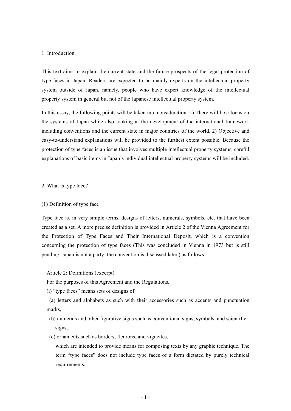#### 1. Introduction

This text aims to explain the current state and the future prospects of the legal protection of type faces in Japan. Readers are expected to be mainly experts on the intellectual property system outside of Japan, namely, people who have expert knowledge of the intellectual property system in general but not of the Japanese intellectual property system.

In this essay, the following points will be taken into consideration: 1) There will be a focus on the systems of Japan while also looking at the development of the international framework including conventions and the current state in major countries of the world. 2) Objective and easy-to-understand explanations will be provided to the furthest extent possible. Because the protection of type faces is an issue that involves multiple intellectual property systems, careful explanations of basic items in Japan's individual intellectual property systems will be included.

#### 2. What is type face?

#### (1) Definition of type face

Type face is, in very simple terms, designs of letters, numerals, symbols, etc. that have been created as a set. A more precise definition is provided in Article 2 of the Vienna Agreement for the Protection of Type Faces and Their International Deposit, which is a convention concerning the protection of type faces (This was concluded in Vienna in 1973 but is still pending. Japan is not a party; the convention is discussed later.) as follows:

#### Article 2: Definitions (excerpt)

For the purposes of this Agreement and the Regulations,

(i) "type faces" means sets of designs of:

(a) letters and alphabets as such with their accessories such as accents and punctuation marks,

- (b) numerals and other figurative signs such as conventional signs, symbols, and scientific signs,
- (c) ornaments such as borders, fleurons, and vignettes,

which are intended to provide means for composing texts by any graphic technique. The term "type faces" does not include type faces of a form dictated by purely technical requirements.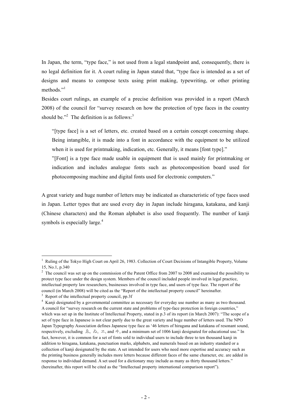In Japan, the term, "type face," is not used from a legal standpoint and, consequently, there is no legal definition for it. A court ruling in Japan stated that, "type face is intended as a set of designs and means to compose texts using print making, typewriting, or other printing methods<sup>"1</sup>

Besides court rulings, an example of a precise definition was provided in a report (March 2008) of the council for "survey research on how the protection of type faces in the country should be."<sup>2</sup> The definition is as follows:<sup>3</sup>

"[type face] is a set of letters, etc. created based on a certain concept concerning shape. Being intangible, it is made into a font in accordance with the equipment to be utilized when it is used for printmaking, indication, etc. Generally, it means [font type]."

"[Font] is a type face made usable in equipment that is used mainly for printmaking or indication and includes analogue fonts such as photocomposition board used for photocomposing machine and digital fonts used for electronic computers."

A great variety and huge number of letters may be indicated as characteristic of type faces used in Japan. Letter types that are used every day in Japan include hiragana, katakana, and kanji (Chinese characters) and the Roman alphabet is also used frequently. The number of kanji symbols is especially large.<sup>4</sup>

<sup>&</sup>lt;sup>1</sup> Ruling of the Tokyo High Court on April 26, 1983. Collection of Court Decisions of Intangible Property, Volume 15, No.1, p.340

 $2$  The council was set up on the commission of the Patent Office from 2007 to 2008 and examined the possibility to protect type face under the design system. Members of the council included people involved in legal practice, intellectual property law researchers, businesses involved in type face, and users of type face. The report of the council (in March 2008) will be cited as the "Report of the intellectual property council" hereinafter.

 $3\text{ Renort of the intellectual property council, pp.3f}$ 

<sup>&</sup>lt;sup>4</sup> Kanji designated by a governmental committee as necessary for everyday use number as many as two thousand. A council for "survey research on the current state and problems of type-face protection in foreign countries," which was set up in the Institute of Intellectual Property, stated in p.3 of its report (in March 2007): "The scope of a set of type face in Japanese is not clear partly due to the great variety and huge number of letters used. The NPO Japan Typography Association defines Japanese type face as '46 letters of hiragana and katakana of resonant sound, respectively, excluding ゑ, ゐ, ヱ, and ヰ, and a minimum set of 1006 kanji designated for educational use." In fact, however, it is common for a set of fonts sold to individual users to include three to ten thousand kanji in addition to hiragana, katakana, punctuation marks, alphabets, and numerals based on an industry standard or a collection of kanji designated by the state. A set intended for users who need more expertise and accuracy such as the printing business generally includes more letters because different faces of the same character, etc. are added in response to individual demand. A set used for a dictionary may include as many as thirty thousand letters." (hereinafter, this report will be cited as the "Intellectual property international comparison report").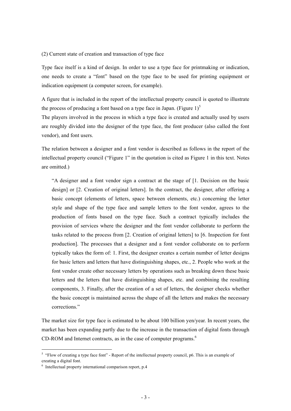#### (2) Current state of creation and transaction of type face

Type face itself is a kind of design. In order to use a type face for printmaking or indication, one needs to create a "font" based on the type face to be used for printing equipment or indication equipment (a computer screen, for example).

A figure that is included in the report of the intellectual property council is quoted to illustrate the process of producing a font based on a type face in Japan. (Figure  $1$ )<sup>5</sup>

The players involved in the process in which a type face is created and actually used by users are roughly divided into the designer of the type face, the font producer (also called the font vendor), and font users.

The relation between a designer and a font vendor is described as follows in the report of the intellectual property council ("Figure 1" in the quotation is cited as Figure 1 in this text. Notes are omitted.)

"A designer and a font vendor sign a contract at the stage of [1. Decision on the basic design] or [2. Creation of original letters]. In the contract, the designer, after offering a basic concept (elements of letters, space between elements, etc.) concerning the letter style and shape of the type face and sample letters to the font vendor, agrees to the production of fonts based on the type face. Such a contract typically includes the provision of services where the designer and the font vendor collaborate to perform the tasks related to the process from [2. Creation of original letters] to [6. Inspection for font production]. The processes that a designer and a font vendor collaborate on to perform typically takes the form of: 1. First, the designer creates a certain number of letter designs for basic letters and letters that have distinguishing shapes, etc., 2. People who work at the font vendor create other necessary letters by operations such as breaking down these basic letters and the letters that have distinguishing shapes, etc. and combining the resulting components, 3. Finally, after the creation of a set of letters, the designer checks whether the basic concept is maintained across the shape of all the letters and makes the necessary corrections."

The market size for type face is estimated to be about 100 billion yen/year. In recent years, the market has been expanding partly due to the increase in the transaction of digital fonts through CD-ROM and Internet contracts, as in the case of computer programs.<sup>6</sup>

<sup>&</sup>lt;sup>5</sup> "Flow of creating a type face font" - Report of the intellectual property council, p6. This is an example of creating a digital font.

<sup>6</sup> Intellectual property international comparison report, p.4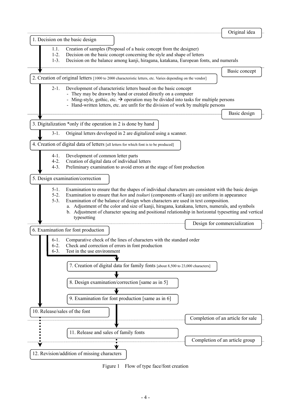|                                                                                                                                                                                                                                                                                                                                                                                                                                                                                                                                                    | Original idea                     |
|----------------------------------------------------------------------------------------------------------------------------------------------------------------------------------------------------------------------------------------------------------------------------------------------------------------------------------------------------------------------------------------------------------------------------------------------------------------------------------------------------------------------------------------------------|-----------------------------------|
| 1. Decision on the basic design                                                                                                                                                                                                                                                                                                                                                                                                                                                                                                                    |                                   |
| 1.1.<br>Creation of samples (Proposal of a basic concept from the designer)<br>Decision on the basic concept concerning the style and shape of letters<br>$1-2.$<br>Decision on the balance among kanji, hiragana, katakana, European fonts, and numerals<br>$1-3.$                                                                                                                                                                                                                                                                                |                                   |
|                                                                                                                                                                                                                                                                                                                                                                                                                                                                                                                                                    | Basic concept                     |
| 2. Creation of original letters [1000 to 2000 characteristic letters, etc. Varies depending on the vendor]                                                                                                                                                                                                                                                                                                                                                                                                                                         |                                   |
| Development of characteristic letters based on the basic concept<br>$2-1$ .<br>- They may be drawn by hand or created directly on a computer<br>- Ming-style, gothic, etc. $\rightarrow$ operation may be divided into tasks for multiple persons<br>- Hand-written letters, etc. are unfit for the division of work by multiple persons                                                                                                                                                                                                           |                                   |
|                                                                                                                                                                                                                                                                                                                                                                                                                                                                                                                                                    | Basic design                      |
| 3. Digitalization *only if the operation in 2 is done by hand                                                                                                                                                                                                                                                                                                                                                                                                                                                                                      |                                   |
| Original letters developed in 2 are digitalized using a scanner.<br>$3-1.$                                                                                                                                                                                                                                                                                                                                                                                                                                                                         |                                   |
| 4. Creation of digital data of letters [all letters for which font is to be produced]                                                                                                                                                                                                                                                                                                                                                                                                                                                              |                                   |
| Development of common letter parts<br>$4-1.$<br>Creation of digital data of individual letters<br>$4-2.$                                                                                                                                                                                                                                                                                                                                                                                                                                           |                                   |
| Preliminary examination to avoid errors at the stage of font production<br>$4-3.$                                                                                                                                                                                                                                                                                                                                                                                                                                                                  |                                   |
| 5. Design examination/correction                                                                                                                                                                                                                                                                                                                                                                                                                                                                                                                   |                                   |
| Examination to ensure that the shapes of individual characters are consistent with the basic design<br>$5-1$ .<br>$5-2.$<br>Examination to ensure that hen and tsukuri (components of kanji) are uniform in appearance<br>Examination of the balance of design when characters are used in text composition.<br>$5-3.$<br>a. Adjustment of the color and size of kanji, hiragana, katakana, letters, numerals, and symbols<br>b. Adjustment of character spacing and positional relationship in horizontal typesetting and vertical<br>typesetting | Design for commercialization      |
| 6. Examination for font production                                                                                                                                                                                                                                                                                                                                                                                                                                                                                                                 |                                   |
| Comparative check of the lines of characters with the standard order<br>$6-1.$<br>$6-2.$<br>Check and correction of errors in font production<br>Test in the use environment<br>$6-3.$<br>7. Creation of digital data for family fonts [about 8,500 to 23,000 characters]                                                                                                                                                                                                                                                                          |                                   |
| 8. Design examination/correction [same as in 5]                                                                                                                                                                                                                                                                                                                                                                                                                                                                                                    |                                   |
| 9. Examination for font production [same as in 6]                                                                                                                                                                                                                                                                                                                                                                                                                                                                                                  |                                   |
| 10. Release/sales of the font                                                                                                                                                                                                                                                                                                                                                                                                                                                                                                                      |                                   |
|                                                                                                                                                                                                                                                                                                                                                                                                                                                                                                                                                    | Completion of an article for sale |
| 11. Release and sales of family fonts                                                                                                                                                                                                                                                                                                                                                                                                                                                                                                              |                                   |
|                                                                                                                                                                                                                                                                                                                                                                                                                                                                                                                                                    | Completion of an article group    |
| 12. Revision/addition of missing characters                                                                                                                                                                                                                                                                                                                                                                                                                                                                                                        |                                   |

Figure 1 Flow of type face/font creation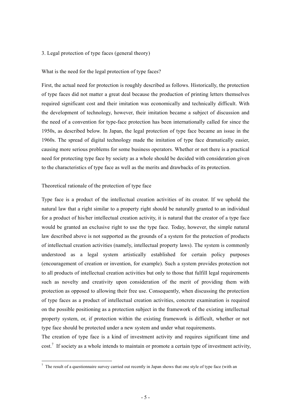#### 3. Legal protection of type faces (general theory)

#### What is the need for the legal protection of type faces?

First, the actual need for protection is roughly described as follows. Historically, the protection of type faces did not matter a great deal because the production of printing letters themselves required significant cost and their imitation was economically and technically difficult. With the development of technology, however, their imitation became a subject of discussion and the need of a convention for type-face protection has been internationally called for since the 1950s, as described below. In Japan, the legal protection of type face became an issue in the 1960s. The spread of digital technology made the imitation of type face dramatically easier, causing more serious problems for some business operators. Whether or not there is a practical need for protecting type face by society as a whole should be decided with consideration given to the characteristics of type face as well as the merits and drawbacks of its protection.

#### Theoretical rationale of the protection of type face

-

Type face is a product of the intellectual creation activities of its creator. If we uphold the natural law that a right similar to a property right should be naturally granted to an individual for a product of his/her intellectual creation activity, it is natural that the creator of a type face would be granted an exclusive right to use the type face. Today, however, the simple natural law described above is not supported as the grounds of a system for the protection of products of intellectual creation activities (namely, intellectual property laws). The system is commonly understood as a legal system artistically established for certain policy purposes (encouragement of creation or invention, for example). Such a system provides protection not to all products of intellectual creation activities but only to those that fulfill legal requirements such as novelty and creativity upon consideration of the merit of providing them with protection as opposed to allowing their free use. Consequently, when discussing the protection of type faces as a product of intellectual creation activities, concrete examination is required on the possible positioning as a protection subject in the framework of the existing intellectual property system, or, if protection within the existing framework is difficult, whether or not type face should be protected under a new system and under what requirements.

The creation of type face is a kind of investment activity and requires significant time and  $cost<sup>7</sup>$  If society as a whole intends to maintain or promote a certain type of investment activity,

 $<sup>7</sup>$  The result of a questionnaire survey carried out recently in Japan shows that one style of type face (with an</sup>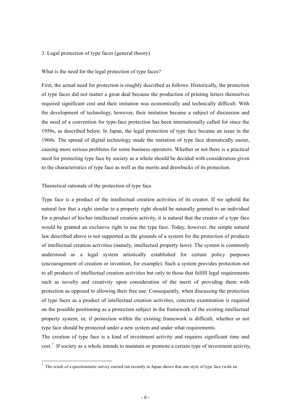#### 3. Legal protection of type faces (general theory)

#### What is the need for the legal protection of type faces?

First, the actual need for protection is roughly described as follows. Historically, the protection of type faces did not matter a great deal because the production of printing letters themselves required significant cost and their imitation was economically and technically difficult. With the development of technology, however, their imitation became a subject of discussion and the need of a convention for type-face protection has been internationally called for since the 1950s, as described below. In Japan, the legal protection of type face became an issue in the 1960s. The spread of digital technology made the imitation of type face dramatically easier, causing more serious problems for some business operators. Whether or not there is a practical need for protecting type face by society as a whole should be decided with consideration given to the characteristics of type face as well as the merits and drawbacks of its protection.

#### Theoretical rationale of the protection of type face

-

Type face is a product of the intellectual creation activities of its creator. If we uphold the natural law that a right similar to a property right should be naturally granted to an individual for a product of his/her intellectual creation activity, it is natural that the creator of a type face would be granted an exclusive right to use the type face. Today, however, the simple natural law described above is not supported as the grounds of a system for the protection of products of intellectual creation activities (namely, intellectual property laws). The system is commonly understood as a legal system artistically established for certain policy purposes (encouragement of creation or invention, for example). Such a system provides protection not to all products of intellectual creation activities but only to those that fulfill legal requirements such as novelty and creativity upon consideration of the merit of providing them with protection as opposed to allowing their free use. Consequently, when discussing the protection of type faces as a product of intellectual creation activities, concrete examination is required on the possible positioning as a protection subject in the framework of the existing intellectual property system, or, if protection within the existing framework is difficult, whether or not type face should be protected under a new system and under what requirements.

The creation of type face is a kind of investment activity and requires significant time and  $cost<sup>7</sup>$  If society as a whole intends to maintain or promote a certain type of investment activity,

 $<sup>7</sup>$  The result of a questionnaire survey carried out recently in Japan shows that one style of type face (with an</sup>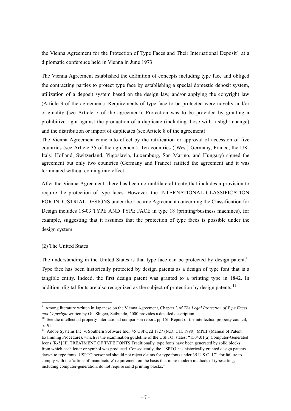the Vienna Agreement for the Protection of Type Faces and Their International Deposit<sup>9</sup> at a diplomatic conference held in Vienna in June 1973.

The Vienna Agreement established the definition of concepts including type face and obliged the contracting parties to protect type face by establishing a special domestic deposit system, utilization of a deposit system based on the design law, and/or applying the copyright law (Article 3 of the agreement). Requirements of type face to be protected were novelty and/or originality (see Article 7 of the agreement). Protection was to be provided by granting a prohibitive right against the production of a duplicate (including those with a slight change) and the distribution or import of duplicates (see Article 8 of the agreement).

The Vienna Agreement came into effect by the ratification or approval of accession of five countries (see Article 35 of the agreement). Ten countries ([West] Germany, France, the UK, Italy, Holland, Switzerland, Yugoslavia, Luxemburg, San Marino, and Hungary) signed the agreement but only two countries (Germany and France) ratified the agreement and it was terminated without coming into effect.

After the Vienna Agreement, there has been no multilateral treaty that includes a provision to require the protection of type faces. However, the INTERNATIONAL CLASSIFICATION FOR INDUSTRIAL DESIGNS under the Locarno Agreement concerning the Classification for Design includes 18-03 TYPE AND TYPE FACE in type 18 (printing/business machines), for example, suggesting that it assumes that the protection of type faces is possible under the design system.

#### (2) The United States

-

The understanding in the United States is that type face can be protected by design patent.<sup>10</sup> Type face has been historically protected by design patents as a design of type font that is a tangible entity. Indeed, the first design patent was granted to a printing type in 1842. In addition, digital fonts are also recognized as the subject of protection by design patents.<sup>11</sup>

<sup>9</sup> Among literature written in Japanese on the Vienna Agreement, Chapter 3 of *The Legal Protection of Type Faces and Copyright* written by Oie Shigeo, Seibundo, 2000 provides a detailed description.

 $10$  See the intellectual property international comparison report, pp.15f. Report of the intellectual property council, p.19f

<sup>&</sup>lt;sup>11</sup> Adobe Systems Inc. v. Southern Software Inc., 45 USPQ2d 1827 (N.D. Cal. 1998). MPEP (Manual of Patent Examining Procedure), which is the examination guideline of the USPTO, states: "1504.01(a) Computer-Generated Icons [R-5] III. TREATMENT OF TYPE FONTS Traditionally, type fonts have been generated by solid blocks from which each letter or symbol was produced. Consequently, the USPTO has historically granted design patents drawn to type fonts. USPTO personnel should not reject claims for type fonts under 35 U.S.C. 171 for failure to comply with the 'article of manufacture' requirement on the basis that more modern methods of typesetting. including computer-generation, do not require solid printing blocks."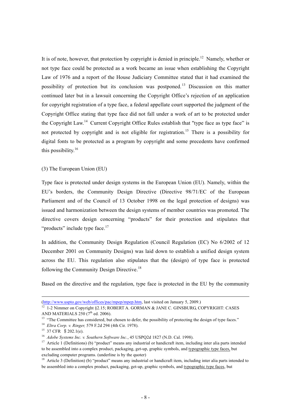It is of note, however, that protection by copyright is denied in principle.<sup>12</sup> Namely, whether or not type face could be protected as a work became an issue when establishing the Copyright Law of 1976 and a report of the House Judiciary Committee stated that it had examined the possibility of protection but its conclusion was postponed. 13 Discussion on this matter continued later but in a lawsuit concerning the Copyright Office's rejection of an application for copyright registration of a type face, a federal appellate court supported the judgment of the Copyright Office stating that type face did not fall under a work of art to be protected under the Copyright Law.<sup>14</sup> Current Copyright Office Rules establish that "type face as type face" is not protected by copyright and is not eligible for registration.<sup>15</sup> There is a possibility for digital fonts to be protected as a program by copyright and some precedents have confirmed this possibility. $16$ 

(3) The European Union (EU)

Type face is protected under design systems in the European Union (EU). Namely, within the EU's borders, the Community Design Directive (Directive 98/71/EC of the European Parliament and of the Council of 13 October 1998 on the legal protection of designs) was issued and harmonization between the design systems of member countries was promoted. The directive covers design concerning "products" for their protection and stipulates that "products" include type face.<sup>17</sup>

In addition, the Community Design Regulation (Council Regulation (EC) No 6/2002 of 12 December 2001 on Community Designs) was laid down to establish a unified design system across the EU. This regulation also stipulates that the (design) of type face is protected following the Community Design Directive.<sup>18</sup>

Based on the directive and the regulation, type face is protected in the EU by the community

<sup>(</sup>http://www.uspto.gov/web/offices/pac/mpep/mpep.htm, last visited on January 5, 2009.)<br><sup>12</sup> 1-2 Nimmer on Copyright §2.15; ROBERT A. GORMAN & JANE C. GINSBURG, COPYRIGHT: CASES<br>AND MATERIALS 250 (7<sup>th</sup> ed. 2006).

<sup>&</sup>lt;sup>13</sup> "The Committee has considered, but chosen to defer, the possibility of protecting the design of type faces."

<sup>14</sup> *Eltra Corp. v. Ringer,* 579 F.2d 294 (4th Cir. 1978).<br>
<sup>15</sup> 37 CFR § 202.1(e).<br>
<sup>16</sup> *Adobe Systems Inc. v. Southern Software Inc.*, 45 USPO2d 1827 (N.D. Cal. 1998).

<sup>&</sup>lt;sup>17</sup> Article 1 (Definitions) (b) "product" means any industrial or handicraft item, including inter alia parts intended to be assembled into a complex product, packaging, get-up, graphic symbols, and typographic type faces, but excluding computer programs. (underline is by the quoter)

<sup>&</sup>lt;sup>18</sup> Article 3 (Definition) (b) "product" means any industrial or handicraft item, including inter alia parts intended to be assembled into a complex product, packaging, get-up, graphic symbols, and typographic type faces, but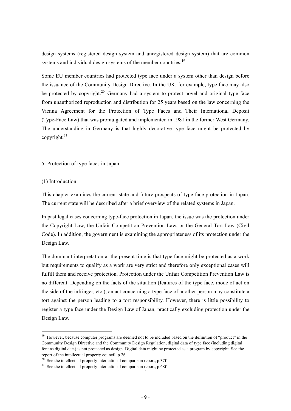design systems (registered design system and unregistered design system) that are common systems and individual design systems of the member countries.<sup>19</sup>

Some EU member countries had protected type face under a system other than design before the issuance of the Community Design Directive. In the UK, for example, type face may also be protected by copyright.<sup>20</sup> Germany had a system to protect novel and original type face from unauthorized reproduction and distribution for 25 years based on the law concerning the Vienna Agreement for the Protection of Type Faces and Their International Deposit (Type-Face Law) that was promulgated and implemented in 1981 in the former West Germany. The understanding in Germany is that highly decorative type face might be protected by copyright. $21$ 

#### 5. Protection of type faces in Japan

#### (1) Introduction

-

This chapter examines the current state and future prospects of type-face protection in Japan. The current state will be described after a brief overview of the related systems in Japan.

In past legal cases concerning type-face protection in Japan, the issue was the protection under the Copyright Law, the Unfair Competition Prevention Law, or the General Tort Law (Civil Code). In addition, the government is examining the appropriateness of its protection under the Design Law.

The dominant interpretation at the present time is that type face might be protected as a work but requirements to qualify as a work are very strict and therefore only exceptional cases will fulfill them and receive protection. Protection under the Unfair Competition Prevention Law is no different. Depending on the facts of the situation (features of the type face, mode of act on the side of the infringer, etc.), an act concerning a type face of another person may constitute a tort against the person leading to a tort responsibility. However, there is little possibility to register a type face under the Design Law of Japan, practically excluding protection under the Design Law.

<sup>&</sup>lt;sup>19</sup> However, because computer programs are deemed not to be included based on the definition of "product" in the Community Design Directive and the Community Design Regulation, digital data of type face (including digital font as digital data) is not protected as design. Digital data might be protected as a program by copyright. See the report of the intellectual property council, p.26.<br><sup>20</sup> See the intellectual property international comparison report, p.37f.

 $21$  See the intellectual property international comparison report, p.68f.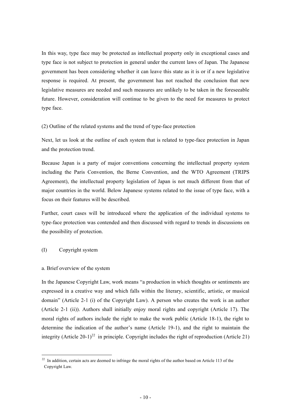In this way, type face may be protected as intellectual property only in exceptional cases and type face is not subject to protection in general under the current laws of Japan. The Japanese government has been considering whether it can leave this state as it is or if a new legislative response is required. At present, the government has not reached the conclusion that new legislative measures are needed and such measures are unlikely to be taken in the foreseeable future. However, consideration will continue to be given to the need for measures to protect type face.

(2) Outline of the related systems and the trend of type-face protection

Next, let us look at the outline of each system that is related to type-face protection in Japan and the protection trend.

Because Japan is a party of major conventions concerning the intellectual property system including the Paris Convention, the Berne Convention, and the WTO Agreement (TRIPS Agreement), the intellectual property legislation of Japan is not much different from that of major countries in the world. Below Japanese systems related to the issue of type face, with a focus on their features will be described.

Further, court cases will be introduced where the application of the individual systems to type-face protection was contended and then discussed with regard to trends in discussions on the possibility of protection.

#### (I) Copyright system

-

#### a. Brief overview of the system

In the Japanese Copyright Law, work means "a production in which thoughts or sentiments are expressed in a creative way and which falls within the literary, scientific, artistic, or musical domain" (Article 2-1 (i) of the Copyright Law). A person who creates the work is an author (Article 2-1 (ii)). Authors shall initially enjoy moral rights and copyright (Article 17). The moral rights of authors include the right to make the work public (Article 18-1), the right to determine the indication of the author's name (Article 19-1), and the right to maintain the integrity (Article 20-1)<sup>22</sup> in principle. Copyright includes the right of reproduction (Article 21)

 $22$  In addition, certain acts are deemed to infringe the moral rights of the author based on Article 113 of the Copyright Law.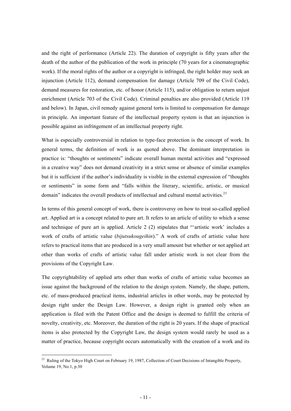and the right of performance (Article 22). The duration of copyright is fifty years after the death of the author of the publication of the work in principle (70 years for a cinematographic work). If the moral rights of the author or a copyright is infringed, the right holder may seek an injunction (Article 112), demand compensation for damage (Article 709 of the Civil Code), demand measures for restoration, etc. of honor (Article 115), and/or obligation to return unjust enrichment (Article 703 of the Civil Code). Criminal penalties are also provided (Article 119 and below). In Japan, civil remedy against general torts is limited to compensation for damage in principle. An important feature of the intellectual property system is that an injunction is possible against an infringement of an intellectual property right.

What is especially controversial in relation to type-face protection is the concept of work. In general terms, the definition of work is as quoted above. The dominant interpretation in practice is: "thoughts or sentiments" indicate overall human mental activities and "expressed in a creative way" does not demand creativity in a strict sense or absence of similar examples but it is sufficient if the author's individuality is visible in the external expression of "thoughts or sentiments" in some form and "falls within the literary, scientific, artistic, or musical domain" indicates the overall products of intellectual and cultural mental activities.<sup>23</sup>

In terms of this general concept of work, there is controversy on how to treat so-called applied art. Applied art is a concept related to pure art. It refers to an article of utility to which a sense and technique of pure art is applied. Article 2 (2) stipulates that "'artistic work' includes a work of crafts of artistic value (*bijutsukougeihin*)." A work of crafts of artistic value here refers to practical items that are produced in a very small amount but whether or not applied art other than works of crafts of artistic value fall under artistic work is not clear from the provisions of the Copyright Law.

The copyrightability of applied arts other than works of crafts of artistic value becomes an issue against the background of the relation to the design system. Namely, the shape, pattern, etc. of mass-produced practical items, industrial articles in other words, may be protected by design right under the Design Law. However, a design right is granted only when an application is filed with the Patent Office and the design is deemed to fulfill the criteria of novelty, creativity, etc. Moreover, the duration of the right is 20 years. If the shape of practical items is also protected by the Copyright Law, the design system would rarely be used as a matter of practice, because copyright occurs automatically with the creation of a work and its

<sup>&</sup>lt;sup>23</sup> Ruling of the Tokyo High Court on February 19, 1987, Collection of Court Decisions of Intangible Property, Volume 19, No.1, p.30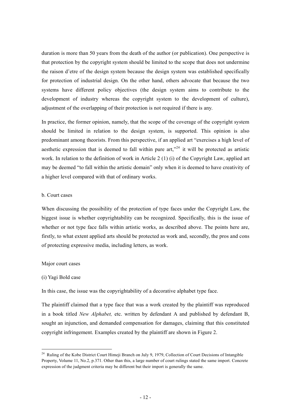duration is more than 50 years from the death of the author (or publication). One perspective is that protection by the copyright system should be limited to the scope that does not undermine the raison d'etre of the design system because the design system was established specifically for protection of industrial design. On the other hand, others advocate that because the two systems have different policy objectives (the design system aims to contribute to the development of industry whereas the copyright system to the development of culture), adjustment of the overlapping of their protection is not required if there is any.

In practice, the former opinion, namely, that the scope of the coverage of the copyright system should be limited in relation to the design system, is supported. This opinion is also predominant among theorists. From this perspective, if an applied art "exercises a high level of aesthetic expression that is deemed to fall within pure art,"<sup>24</sup> it will be protected as artistic work. In relation to the definition of work in Article 2 (1) (i) of the Copyright Law, applied art may be deemed "to fall within the artistic domain" only when it is deemed to have creativity of a higher level compared with that of ordinary works.

#### b. Court cases

When discussing the possibility of the protection of type faces under the Copyright Law, the biggest issue is whether copyrightability can be recognized. Specifically, this is the issue of whether or not type face falls within artistic works, as described above. The points here are, firstly, to what extent applied arts should be protected as work and, secondly, the pros and cons of protecting expressive media, including letters, as work.

#### Major court cases

#### (i) Yagi Bold case

-

In this case, the issue was the copyrightability of a decorative alphabet type face.

The plaintiff claimed that a type face that was a work created by the plaintiff was reproduced in a book titled *New Alphabet,* etc. written by defendant A and published by defendant B, sought an injunction, and demanded compensation for damages, claiming that this constituted copyright infringement. Examples created by the plaintiff are shown in Figure 2.

<sup>&</sup>lt;sup>24</sup> Ruling of the Kobe District Court Himeji Branch on July 9, 1979, Collection of Court Decisions of Intangible Property, Volume 11, No.2, p.371. Other than this, a large number of court rulings stated the same import. Concrete expression of the judgment criteria may be different but their import is generally the same.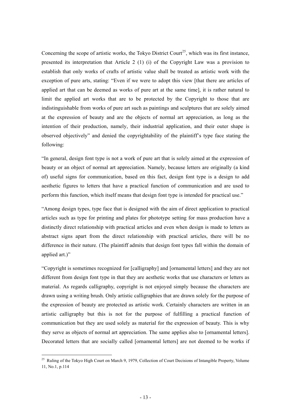Concerning the scope of artistic works, the Tokyo District Court<sup>25</sup>, which was its first instance, presented its interpretation that Article 2 (1) (i) of the Copyright Law was a provision to establish that only works of crafts of artistic value shall be treated as artistic work with the exception of pure arts, stating: "Even if we were to adopt this view [that there are articles of applied art that can be deemed as works of pure art at the same time], it is rather natural to limit the applied art works that are to be protected by the Copyright to those that are indistinguishable from works of pure art such as paintings and sculptures that are solely aimed at the expression of beauty and are the objects of normal art appreciation, as long as the intention of their production, namely, their industrial application, and their outer shape is observed objectively" and denied the copyrightability of the plaintiff's type face stating the following:

"In general, design font type is not a work of pure art that is solely aimed at the expression of beauty or an object of normal art appreciation. Namely, because letters are originally (a kind of) useful signs for communication, based on this fact, design font type is a design to add aesthetic figures to letters that have a practical function of communication and are used to perform this function, which itself means that design font type is intended for practical use."

"Among design types, type face that is designed with the aim of direct application to practical articles such as type for printing and plates for phototype setting for mass production have a distinctly direct relationship with practical articles and even when design is made to letters as abstract signs apart from the direct relationship with practical articles, there will be no difference in their nature. (The plaintiff admits that design font types fall within the domain of applied art.)"

"Copyright is sometimes recognized for [calligraphy] and [ornamental letters] and they are not different from design font type in that they are aesthetic works that use characters or letters as material. As regards calligraphy, copyright is not enjoyed simply because the characters are drawn using a writing brush. Only artistic calligraphies that are drawn solely for the purpose of the expression of beauty are protected as artistic work. Certainly characters are written in an artistic calligraphy but this is not for the purpose of fulfilling a practical function of communication but they are used solely as material for the expression of beauty. This is why they serve as objects of normal art appreciation. The same applies also to [ornamental letters]. Decorated letters that are socially called [ornamental letters] are not deemed to be works if

<sup>&</sup>lt;sup>25</sup> Ruling of the Tokyo High Court on March 9, 1979, Collection of Court Decisions of Intangible Property, Volume 11, No.1, p.114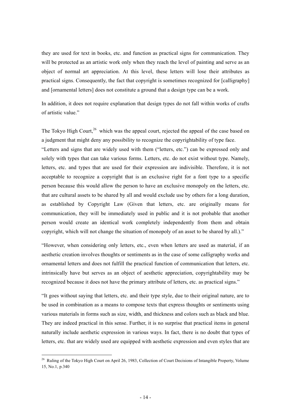they are used for text in books, etc. and function as practical signs for communication. They will be protected as an artistic work only when they reach the level of painting and serve as an object of normal art appreciation. At this level, these letters will lose their attributes as practical signs. Consequently, the fact that copyright is sometimes recognized for [calligraphy] and [ornamental letters] does not constitute a ground that a design type can be a work.

In addition, it does not require explanation that design types do not fall within works of crafts of artistic value."

The Tokyo High Court,<sup>26</sup> which was the appeal court, rejected the appeal of the case based on a judgment that might deny any possibility to recognize the copyrightability of type face.

"Letters and signs that are widely used with them ("letters, etc.") can be expressed only and solely with types that can take various forms. Letters, etc. do not exist without type. Namely, letters, etc. and types that are used for their expression are indivisible. Therefore, it is not acceptable to recognize a copyright that is an exclusive right for a font type to a specific person because this would allow the person to have an exclusive monopoly on the letters, etc. that are cultural assets to be shared by all and would exclude use by others for a long duration, as established by Copyright Law (Given that letters, etc. are originally means for communication, they will be immediately used in public and it is not probable that another person would create an identical work completely independently from them and obtain copyright, which will not change the situation of monopoly of an asset to be shared by all.)."

"However, when considering only letters, etc., even when letters are used as material, if an aesthetic creation involves thoughts or sentiments as in the case of some calligraphy works and ornamental letters and does not fulfill the practical function of communication that letters, etc. intrinsically have but serves as an object of aesthetic appreciation, copyrightability may be recognized because it does not have the primary attribute of letters, etc. as practical signs."

"It goes without saying that letters, etc. and their type style, due to their original nature, are to be used in combination as a means to compose texts that express thoughts or sentiments using various materials in forms such as size, width, and thickness and colors such as black and blue. They are indeed practical in this sense. Further, it is no surprise that practical items in general naturally include aesthetic expression in various ways. In fact, there is no doubt that types of letters, etc. that are widely used are equipped with aesthetic expression and even styles that are

<sup>&</sup>lt;sup>26</sup> Ruling of the Tokyo High Court on April 26, 1983, Collection of Court Decisions of Intangible Property, Volume 15, No.1, p.340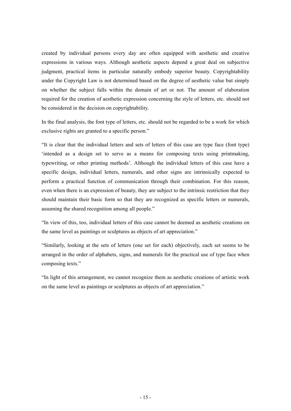created by individual persons every day are often equipped with aesthetic and creative expressions in various ways. Although aesthetic aspects depend a great deal on subjective judgment, practical items in particular naturally embody superior beauty. Copyrightability under the Copyright Law is not determined based on the degree of aesthetic value but simply on whether the subject falls within the domain of art or not. The amount of elaboration required for the creation of aesthetic expression concerning the style of letters, etc. should not be considered in the decision on copyrightability.

In the final analysis, the font type of letters, etc. should not be regarded to be a work for which exclusive rights are granted to a specific person."

"It is clear that the individual letters and sets of letters of this case are type face (font type) 'intended as a design set to serve as a means for composing texts using printmaking, typewriting, or other printing methods'. Although the individual letters of this case have a specific design, individual letters, numerals, and other signs are intrinsically expected to perform a practical function of communication through their combination. For this reason, even when there is an expression of beauty, they are subject to the intrinsic restriction that they should maintain their basic form so that they are recognized as specific letters or numerals, assuming the shared recognition among all people."

"In view of this, too, individual letters of this case cannot be deemed as aesthetic creations on the same level as paintings or sculptures as objects of art appreciation."

"Similarly, looking at the sets of letters (one set for each) objectively, each set seems to be arranged in the order of alphabets, signs, and numerals for the practical use of type face when composing texts."

"In light of this arrangement, we cannot recognize them as aesthetic creations of artistic work on the same level as paintings or sculptures as objects of art appreciation."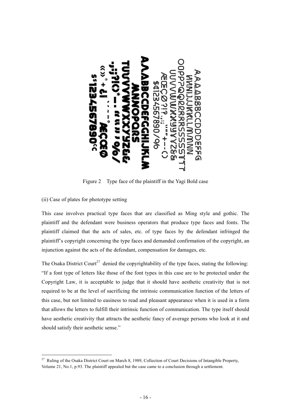

Figure 2 Type face of the plaintiff in the Yagi Bold case

(ii) Case of plates for phototype setting

-

This case involves practical type faces that are classified as Ming style and gothic. The plaintiff and the defendant were business operators that produce type faces and fonts. The plaintiff claimed that the acts of sales, etc. of type faces by the defendant infringed the plaintiff's copyright concerning the type faces and demanded confirmation of the copyright, an injunction against the acts of the defendant, compensation for damages, etc.

The Osaka District Court<sup>27</sup> denied the copyrightability of the type faces, stating the following: "If a font type of letters like those of the font types in this case are to be protected under the Copyright Law, it is acceptable to judge that it should have aesthetic creativity that is not required to be at the level of sacrificing the intrinsic communication function of the letters of this case, but not limited to easiness to read and pleasant appearance when it is used in a form that allows the letters to fulfill their intrinsic function of communication. The type itself should have aesthetic creativity that attracts the aesthetic fancy of average persons who look at it and should satisfy their aesthetic sense."

<sup>&</sup>lt;sup>27</sup> Ruling of the Osaka District Court on March 8, 1989, Collection of Court Decisions of Intangible Property, Volume 21, No.1, p.93. The plaintiff appealed but the case came to a conclusion through a settlement.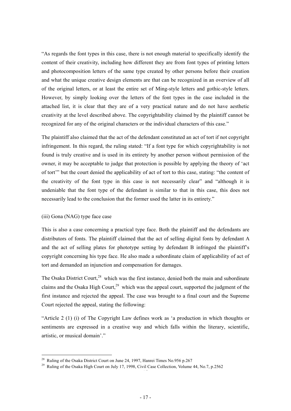"As regards the font types in this case, there is not enough material to specifically identify the content of their creativity, including how different they are from font types of printing letters and photocomposition letters of the same type created by other persons before their creation and what the unique creative design elements are that can be recognized in an overview of all of the original letters, or at least the entire set of Ming-style letters and gothic-style letters. However, by simply looking over the letters of the font types in the case included in the attached list, it is clear that they are of a very practical nature and do not have aesthetic creativity at the level described above. The copyrightability claimed by the plaintiff cannot be recognized for any of the original characters or the individual characters of this case."

The plaintiff also claimed that the act of the defendant constituted an act of tort if not copyright infringement. In this regard, the ruling stated: "If a font type for which copyrightability is not found is truly creative and is used in its entirety by another person without permission of the owner, it may be acceptable to judge that protection is possible by applying the theory of 'act of tort'" but the court denied the applicability of act of tort to this case, stating: "the content of the creativity of the font type in this case is not necessarily clear" and "although it is undeniable that the font type of the defendant is similar to that in this case, this does not necessarily lead to the conclusion that the former used the latter in its entirety."

#### (iii) Gona (NAG) type face case

This is also a case concerning a practical type face. Both the plaintiff and the defendants are distributors of fonts. The plaintiff claimed that the act of selling digital fonts by defendant A and the act of selling plates for phototype setting by defendant B infringed the plaintiff's copyright concerning his type face. He also made a subordinate claim of applicability of act of tort and demanded an injunction and compensation for damages.

The Osaka District Court,<sup>28</sup> which was the first instance, denied both the main and subordinate claims and the Osaka High Court.<sup>29</sup> which was the appeal court, supported the judgment of the first instance and rejected the appeal. The case was brought to a final court and the Supreme Court rejected the appeal, stating the following:

"Article 2 (1) (i) of The Copyright Law defines work as 'a production in which thoughts or sentiments are expressed in a creative way and which falls within the literary, scientific, artistic, or musical domain'."

<sup>&</sup>lt;sup>28</sup> Ruling of the Osaka District Court on June 24, 1997, Hanrei Times No.956 p.267

<sup>&</sup>lt;sup>29</sup> Ruling of the Osaka High Court on July 17, 1998, Civil Case Collection, Volume 44, No.7, p.2562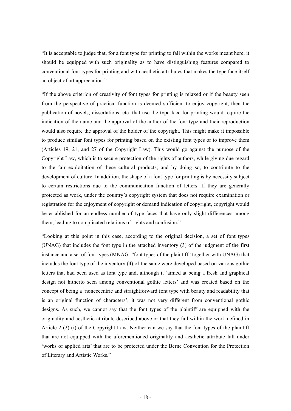"It is acceptable to judge that, for a font type for printing to fall within the works meant here, it should be equipped with such originality as to have distinguishing features compared to conventional font types for printing and with aesthetic attributes that makes the type face itself an object of art appreciation."

"If the above criterion of creativity of font types for printing is relaxed or if the beauty seen from the perspective of practical function is deemed sufficient to enjoy copyright, then the publication of novels, dissertations, etc. that use the type face for printing would require the indication of the name and the approval of the author of the font type and their reproduction would also require the approval of the holder of the copyright. This might make it impossible to produce similar font types for printing based on the existing font types or to improve them (Articles 19, 21, and 27 of the Copyright Law). This would go against the purpose of the Copyright Law, which is to secure protection of the rights of authors, while giving due regard to the fair exploitation of these cultural products, and by doing so, to contribute to the development of culture. In addition, the shape of a font type for printing is by necessity subject to certain restrictions due to the communication function of letters. If they are generally protected as work, under the country's copyright system that does not require examination or registration for the enjoyment of copyright or demand indication of copyright, copyright would be established for an endless number of type faces that have only slight differences among them, leading to complicated relations of rights and confusion."

"Looking at this point in this case, according to the original decision, a set of font types (UNAG) that includes the font type in the attached inventory (3) of the judgment of the first instance and a set of font types (MNAG: "font types of the plaintiff" together with UNAG) that includes the font type of the inventory (4) of the same were developed based on various gothic letters that had been used as font type and, although it 'aimed at being a fresh and graphical design not hitherto seen among conventional gothic letters' and was created based on the concept of being a 'noneccentric and straightforward font type with beauty and readability that is an original function of characters', it was not very different from conventional gothic designs. As such, we cannot say that the font types of the plaintiff are equipped with the originality and aesthetic attribute described above or that they fall within the work defined in Article 2 (2) (i) of the Copyright Law. Neither can we say that the font types of the plaintiff that are not equipped with the aforementioned originality and aesthetic attribute fall under 'works of applied arts' that are to be protected under the Berne Convention for the Protection of Literary and Artistic Works."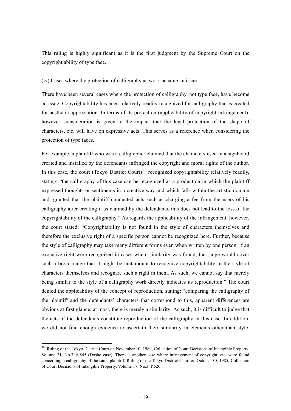This ruling is highly significant as it is the first judgment by the Supreme Court on the copyright ability of type face.

#### (iv) Cases where the protection of calligraphy as work became an issue

There have been several cases where the protection of calligraphy, not type face, have become an issue. Copyrightability has been relatively readily recognized for calligraphy that is created for aesthetic appreciation. In terms of its protection (applicability of copyright infringement), however, consideration is given to the impact that the legal protection of the shape of characters, etc. will have on expressive acts. This serves as a reference when considering the protection of type faces.

For example, a plaintiff who was a calligrapher claimed that the characters used in a signboard created and installed by the defendants infringed the copyright and moral rights of the author. In this case, the court (Tokyo District Court)<sup>30</sup> recognized copyrightability relatively readily, stating: "the calligraphy of this case can be recognized as a production in which the plaintiff expressed thoughts or sentiments in a creative way and which falls within the artistic domain and, granted that the plaintiff conducted acts such as charging a fee from the users of his calligraphy after creating it as claimed by the defendants, this does not lead to the loss of the copyrightability of the calligraphy." As regards the applicability of the infringement, however, the court stated: "Copyrightability is not found in the style of characters themselves and therefore the exclusive right of a specific person cannot be recognized here. Further, because the style of calligraphy may take many different forms even when written by one person, if an exclusive right were recognized in cases where similarity was found, the scope would cover such a broad range that it might be tantamount to recognize copyrightability in the style of characters themselves and recognize such a right in them. As such, we cannot say that merely being similar to the style of a calligraphy work directly indicates its reproduction." The court denied the applicability of the concept of reproduction, stating: "comparing the calligraphy of the plaintiff and the defendants' characters that correspond to this, apparent differences are obvious at first glance; at most, there is merely a similarity. As such, it is difficult to judge that the acts of the defendants constitute reproduction of the calligraphy in this case. In addition, we did not find enough evidence to ascertain their similarity in elements other than style,

<sup>&</sup>lt;sup>30</sup> Ruling of the Tokyo District Court on November 10, 1989, Collection of Court Decisions of Intangible Property, Volume 21, No.3, p.845 (Dosho case). There is another case where infringement of copyright, etc. were found concerning a calligraphy of the same plaintiff. Ruling of the Tokyo District Court on October 30, 1985, Collection of Court Decisions of Intangible Property, Volume 17, No.3, P.520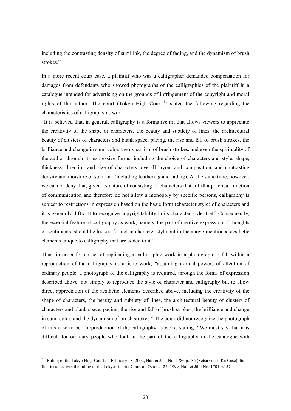including the contrasting density of sumi ink, the degree of fading, and the dynamism of brush strokes."

In a more recent court case, a plaintiff who was a calligrapher demanded compensation for damages from defendants who showed photographs of the calligraphies of the plaintiff in a catalogue intended for advertising on the grounds of infringement of the copyright and moral rights of the author. The court (Tokyo High Court)<sup>31</sup> stated the following regarding the characteristics of calligraphy as work:

"It is believed that, in general, calligraphy is a formative art that allows viewers to appreciate the creativity of the shape of characters, the beauty and subtlety of lines, the architectural beauty of clusters of characters and blank space, pacing, the rise and fall of brush strokes, the brilliance and change in sumi color, the dynamism of brush strokes, and even the spirituality of the author through its expressive forms, including the choice of characters and style, shape, thickness, direction and size of characters, overall layout and composition, and contrasting density and moisture of sumi ink (including feathering and fading). At the same time, however, we cannot deny that, given its nature of consisting of characters that fulfill a practical function of communication and therefore do not allow a monopoly by specific persons, calligraphy is subject to restrictions in expression based on the basic form (character style) of characters and it is generally difficult to recognize copyrightability in its character style itself. Consequently, the essential feature of calligraphy as work, namely, the part of creative expression of thoughts or sentiments, should be looked for not in character style but in the above-mentioned aesthetic elements unique to calligraphy that are added to it."

Thus, in order for an act of replicating a calligraphic work in a photograph to fall within a reproduction of the calligraphy as artistic work, "assuming normal powers of attention of ordinary people, a photograph of the calligraphy is required, through the forms of expression described above, not simply to reproduce the style of character and calligraphy but to allow direct appreciation of the aesthetic elements described above, including the creativity of the shape of characters, the beauty and subtlety of lines, the architectural beauty of clusters of characters and blank space, pacing, the rise and fall of brush strokes, the brilliance and change in sumi color, and the dynamism of brush strokes." The court did not recognize the photograph of this case to be a reproduction of the calligraphy as work, stating: "We must say that it is difficult for ordinary people who look at the part of the calligraphy in the catalogue with

<sup>&</sup>lt;sup>31</sup> Ruling of the Tokyo High Court on February 18, 2002, Hanrei Jiho No. 1786 p.136 (Setsu Getsu Ka Case). Its first instance was the ruling of the Tokyo District Court on October 27, 1999, Hanrei Jiho No. 1701 p.157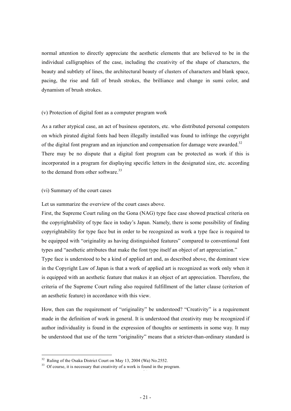normal attention to directly appreciate the aesthetic elements that are believed to be in the individual calligraphies of the case, including the creativity of the shape of characters, the beauty and subtlety of lines, the architectural beauty of clusters of characters and blank space, pacing, the rise and fall of brush strokes, the brilliance and change in sumi color, and dynamism of brush strokes.

#### (v) Protection of digital font as a computer program work

As a rather atypical case, an act of business operators, etc. who distributed personal computers on which pirated digital fonts had been illegally installed was found to infringe the copyright of the digital font program and an injunction and compensation for damage were awarded.<sup>32</sup> There may be no dispute that a digital font program can be protected as work if this is incorporated in a program for displaying specific letters in the designated size, etc. according to the demand from other software.<sup>33</sup>

#### (vi) Summary of the court cases

Let us summarize the overview of the court cases above.

First, the Supreme Court ruling on the Gona (NAG) type face case showed practical criteria on the copyrightability of type face in today's Japan. Namely, there is some possibility of finding copyrightability for type face but in order to be recognized as work a type face is required to be equipped with "originality as having distinguished features" compared to conventional font types and "aesthetic attributes that make the font type itself an object of art appreciation."

Type face is understood to be a kind of applied art and, as described above, the dominant view in the Copyright Law of Japan is that a work of applied art is recognized as work only when it is equipped with an aesthetic feature that makes it an object of art appreciation. Therefore, the criteria of the Supreme Court ruling also required fulfillment of the latter clause (criterion of an aesthetic feature) in accordance with this view.

How, then can the requirement of "originality" be understood? "Creativity" is a requirement made in the definition of work in general. It is understood that creativity may be recognized if author individuality is found in the expression of thoughts or sentiments in some way. It may be understood that use of the term "originality" means that a stricter-than-ordinary standard is

 $32$  Ruling of the Osaka District Court on May 13, 2004 (Wa) No.2552.

 $33$  Of course, it is necessary that creativity of a work is found in the program.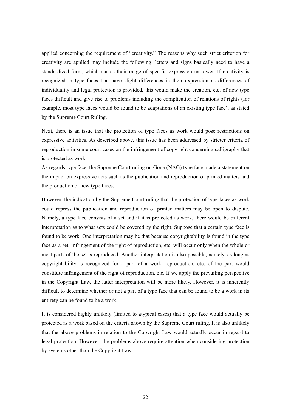applied concerning the requirement of "creativity." The reasons why such strict criterion for creativity are applied may include the following: letters and signs basically need to have a standardized form, which makes their range of specific expression narrower. If creativity is recognized in type faces that have slight differences in their expression as differences of individuality and legal protection is provided, this would make the creation, etc. of new type faces difficult and give rise to problems including the complication of relations of rights (for example, most type faces would be found to be adaptations of an existing type face), as stated by the Supreme Court Ruling.

Next, there is an issue that the protection of type faces as work would pose restrictions on expressive activities. As described above, this issue has been addressed by stricter criteria of reproduction in some court cases on the infringement of copyright concerning calligraphy that is protected as work.

As regards type face, the Supreme Court ruling on Gona (NAG) type face made a statement on the impact on expressive acts such as the publication and reproduction of printed matters and the production of new type faces.

However, the indication by the Supreme Court ruling that the protection of type faces as work could repress the publication and reproduction of printed matters may be open to dispute. Namely, a type face consists of a set and if it is protected as work, there would be different interpretation as to what acts could be covered by the right. Suppose that a certain type face is found to be work. One interpretation may be that because copyrightability is found in the type face as a set, infringement of the right of reproduction, etc. will occur only when the whole or most parts of the set is reproduced. Another interpretation is also possible, namely, as long as copyrightability is recognized for a part of a work, reproduction, etc. of the part would constitute infringement of the right of reproduction, etc. If we apply the prevailing perspective in the Copyright Law, the latter interpretation will be more likely. However, it is inherently difficult to determine whether or not a part of a type face that can be found to be a work in its entirety can be found to be a work.

It is considered highly unlikely (limited to atypical cases) that a type face would actually be protected as a work based on the criteria shown by the Supreme Court ruling. It is also unlikely that the above problems in relation to the Copyright Law would actually occur in regard to legal protection. However, the problems above require attention when considering protection by systems other than the Copyright Law.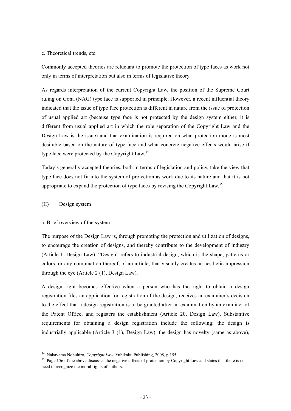#### c. Theoretical trends, etc.

Commonly accepted theories are reluctant to promote the protection of type faces as work not only in terms of interpretation but also in terms of legislative theory.

As regards interpretation of the current Copyright Law, the position of the Supreme Court ruling on Gona (NAG) type face is supported in principle. However, a recent influential theory indicated that the issue of type face protection is different in nature from the issue of protection of usual applied art (because type face is not protected by the design system either, it is different from usual applied art in which the role separation of the Copyright Law and the Design Law is the issue) and that examination is required on what protection mode is most desirable based on the nature of type face and what concrete negative effects would arise if type face were protected by the Copyright Law.<sup>34</sup>

Today's generally accepted theories, both in terms of legislation and policy, take the view that type face does not fit into the system of protection as work due to its nature and that it is not appropriate to expand the protection of type faces by revising the Copyright Law.<sup>35</sup>

#### (II) Design system

-

#### a. Brief overview of the system

The purpose of the Design Law is, through promoting the protection and utilization of designs, to encourage the creation of designs, and thereby contribute to the development of industry (Article 1, Design Law). "Design" refers to industrial design, which is the shape, patterns or colors, or any combination thereof, of an article, that visually creates an aesthetic impression through the eye (Article 2 (1), Design Law).

A design right becomes effective when a person who has the right to obtain a design registration files an application for registration of the design, receives an examiner's decision to the effect that a design registration is to be granted after an examination by an examiner of the Patent Office, and registers the establishment (Article 20, Design Law). Substantive requirements for obtaining a design registration include the following: the design is industrially applicable (Article 3 (1), Design Law), the design has novelty (same as above),

<sup>&</sup>lt;sup>34</sup> Nakayama Nobuhiro, *Copyright Law*, Yuhikaku Publishing, 2008, p.155<br><sup>35</sup> Page 156 of the above discusses the negative effects of protection by Copyright Law and states that there is no need to recognize the moral rights of authors.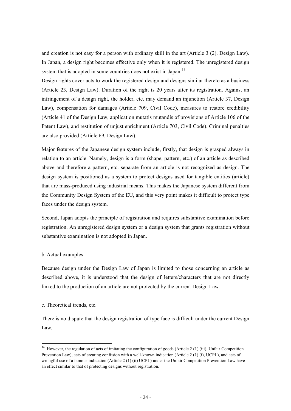and creation is not easy for a person with ordinary skill in the art (Article 3 (2), Design Law). In Japan, a design right becomes effective only when it is registered. The unregistered design system that is adopted in some countries does not exist in Japan.<sup>36</sup>

Design rights cover acts to work the registered design and designs similar thereto as a business (Article 23, Design Law). Duration of the right is 20 years after its registration. Against an infringement of a design right, the holder, etc. may demand an injunction (Article 37, Design Law), compensation for damages (Article 709, Civil Code), measures to restore credibility (Article 41 of the Design Law, application mutatis mutandis of provisions of Article 106 of the Patent Law), and restitution of unjust enrichment (Article 703, Civil Code). Criminal penalties are also provided (Article 69, Design Law).

Major features of the Japanese design system include, firstly, that design is grasped always in relation to an article. Namely, design is a form (shape, pattern, etc.) of an article as described above and therefore a pattern, etc. separate from an article is not recognized as design. The design system is positioned as a system to protect designs used for tangible entities (article) that are mass-produced using industrial means. This makes the Japanese system different from the Community Design System of the EU, and this very point makes it difficult to protect type faces under the design system.

Second, Japan adopts the principle of registration and requires substantive examination before registration. An unregistered design system or a design system that grants registration without substantive examination is not adopted in Japan.

#### b. Actual examples

Because design under the Design Law of Japan is limited to those concerning an article as described above, it is understood that the design of letters/characters that are not directly linked to the production of an article are not protected by the current Design Law.

#### c. Theoretical trends, etc.

-

There is no dispute that the design registration of type face is difficult under the current Design Law.

 $36$  However, the regulation of acts of imitating the configuration of goods (Article 2 (1) (iii), Unfair Competition Prevention Law), acts of creating confusion with a well-known indication (Article 2 (1) (i), UCPL), and acts of wrongful use of a famous indication (Article 2 (1) (ii) UCPL) under the Unfair Competition Prevention Law have an effect similar to that of protecting designs without registration.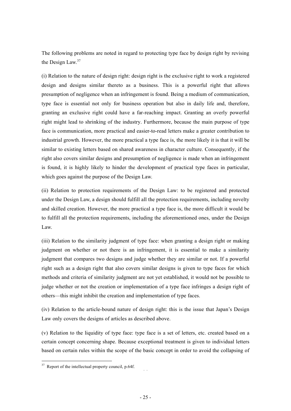The following problems are noted in regard to protecting type face by design right by revising the Design Law.<sup>37</sup>

(i) Relation to the nature of design right: design right is the exclusive right to work a registered design and designs similar thereto as a business. This is a powerful right that allows presumption of negligence when an infringement is found. Being a medium of communication, type face is essential not only for business operation but also in daily life and, therefore, granting an exclusive right could have a far-reaching impact. Granting an overly powerful right might lead to shrinking of the industry. Furthermore, because the main purpose of type face is communication, more practical and easier-to-read letters make a greater contribution to industrial growth. However, the more practical a type face is, the more likely it is that it will be similar to existing letters based on shared awareness in character culture. Consequently, if the right also covers similar designs and presumption of negligence is made when an infringement is found, it is highly likely to hinder the development of practical type faces in particular, which goes against the purpose of the Design Law.

(ii) Relation to protection requirements of the Design Law: to be registered and protected under the Design Law, a design should fulfill all the protection requirements, including novelty and skilled creation. However, the more practical a type face is, the more difficult it would be to fulfill all the protection requirements, including the aforementioned ones, under the Design Law.

(iii) Relation to the similarity judgment of type face: when granting a design right or making judgment on whether or not there is an infringement, it is essential to make a similarity judgment that compares two designs and judge whether they are similar or not. If a powerful right such as a design right that also covers similar designs is given to type faces for which methods and criteria of similarity judgment are not yet established, it would not be possible to judge whether or not the creation or implementation of a type face infringes a design right of others—this might inhibit the creation and implementation of type faces.

(iv) Relation to the article-bound nature of design right: this is the issue that Japan's Design Law only covers the designs of articles as described above.

(v) Relation to the liquidity of type face: type face is a set of letters, etc. created based on a certain concept concerning shape. Because exceptional treatment is given to individual letters based on certain rules within the scope of the basic concept in order to avoid the collapsing of

 $37$  Report of the intellectual property council, p.64f.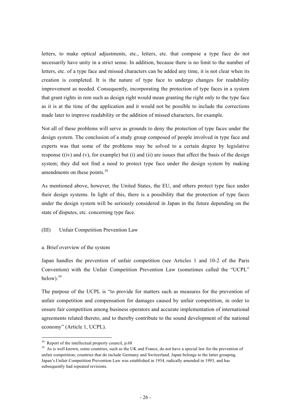letters, to make optical adjustments, etc., letters, etc. that compose a type face do not necessarily have unity in a strict sense. In addition, because there is no limit to the number of letters, etc. of a type face and missed characters can be added any time, it is not clear when its creation is completed. It is the nature of type face to undergo changes for readability improvement as needed. Consequently, incorporating the protection of type faces in a system that grant rights in rem such as design right would mean granting the right only to the type face as it is at the time of the application and it would not be possible to include the corrections made later to improve readability or the addition of missed characters, for example.

Not all of these problems will serve as grounds to deny the protection of type faces under the design system. The conclusion of a study group composed of people involved in type face and experts was that some of the problems may be solved to a certain degree by legislative response  $f(iv)$  and  $f(v)$ , for example) but (i) and (ii) are issues that affect the basis of the design system; they did not find a need to protect type face under the design system by making amendments on these points.<sup>38</sup>

As mentioned above, however, the United States, the EU, and others protect type face under their design systems. In light of this, there is a possibility that the protection of type faces under the design system will be seriously considered in Japan in the future depending on the state of disputes, etc. concerning type face.

#### (III) Unfair Competition Prevention Law

a. Brief overview of the system

Japan handles the prevention of unfair competition (see Articles 1 and 10-2 of the Paris Convention) with the Unfair Competition Prevention Law (sometimes called the "UCPL" below). $39$ 

The purpose of the UCPL is "to provide for matters such as measures for the prevention of unfair competition and compensation for damages caused by unfair competition, in order to ensure fair competition among business operators and accurate implementation of international agreements related thereto, and to thereby contribute to the sound development of the national economy" (Article 1, UCPL).

 $38$  Report of the intellectual property council, p.68

<sup>&</sup>lt;sup>39</sup> As is well known, some countries, such as the UK and France, do not have a special law for the prevention of unfair competition; countries that do include Germany and Switzerland. Japan belongs to the latter grouping. Japan's Unfair Competition Prevention Law was established in 1934, radically amended in 1993, and has subsequently had repeated revisions.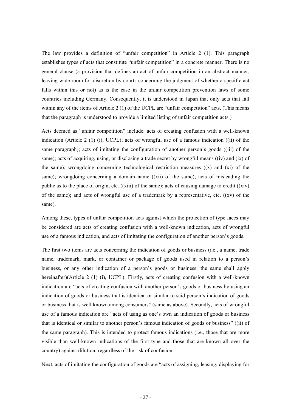The law provides a definition of "unfair competition" in Article 2 (1). This paragraph establishes types of acts that constitute "unfair competition" in a concrete manner. There is no general clause (a provision that defines an act of unfair competition in an abstract manner, leaving wide room for discretion by courts concerning the judgment of whether a specific act falls within this or not) as is the case in the unfair competition prevention laws of some countries including Germany. Consequently, it is understood in Japan that only acts that fall within any of the items of Article 2 (1) of the UCPL are "unfair competition" acts. (This means that the paragraph is understood to provide a limited listing of unfair competition acts.)

Acts deemed as "unfair competition" include: acts of creating confusion with a well-known indication (Article 2 (1) (i), UCPL); acts of wrongful use of a famous indication ((ii) of the same paragraph); acts of imitating the configuration of another person's goods ((iii) of the same); acts of acquiring, using, or disclosing a trade secret by wrongful means ((iv) and (ix) of the same); wrongdoing concerning technological restriction measures ((x) and (xi) of the same); wrongdoing concerning a domain name ((xii) of the same); acts of misleading the public as to the place of origin, etc.  $((xiii)$  of the same); acts of causing damage to credit  $((xiv)$ of the same); and acts of wrongful use of a trademark by a representative, etc.  $((xv)$  of the same).

Among these, types of unfair competition acts against which the protection of type faces may be considered are acts of creating confusion with a well-known indication, acts of wrongful use of a famous indication, and acts of imitating the configuration of another person's goods.

The first two items are acts concerning the indication of goods or business (i.e., a name, trade name, trademark, mark, or container or package of goods used in relation to a person's business, or any other indication of a person's goods or business; the same shall apply hereinafter)(Article 2 (1) (i), UCPL). Firstly, acts of creating confusion with a well-known indication are "acts of creating confusion with another person's goods or business by using an indication of goods or business that is identical or similar to said person's indication of goods or business that is well known among consumers" (same as above). Secondly, acts of wrongful use of a famous indication are "acts of using as one's own an indication of goods or business that is identical or similar to another person's famous indication of goods or business" ((ii) of the same paragraph). This is intended to protect famous indications (i.e., those that are more visible than well-known indications of the first type and those that are known all over the country) against dilution, regardless of the risk of confusion.

Next, acts of imitating the configuration of goods are "acts of assigning, leasing, displaying for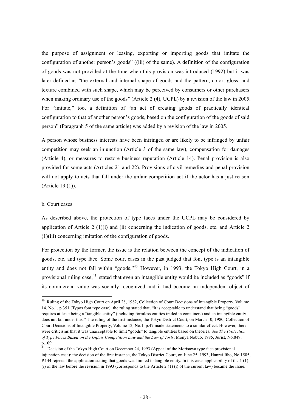the purpose of assignment or leasing, exporting or importing goods that imitate the configuration of another person's goods" ((iii) of the same). A definition of the configuration of goods was not provided at the time when this provision was introduced (1992) but it was later defined as "the external and internal shape of goods and the pattern, color, gloss, and texture combined with such shape, which may be perceived by consumers or other purchasers when making ordinary use of the goods" (Article 2 (4), UCPL) by a revision of the law in 2005. For "imitate," too, a definition of "an act of creating goods of practically identical configuration to that of another person's goods, based on the configuration of the goods of said person" (Paragraph 5 of the same article) was added by a revision of the law in 2005.

A person whose business interests have been infringed or are likely to be infringed by unfair competition may seek an injunction (Article 3 of the same law), compensation for damages (Article 4), or measures to restore business reputation (Article 14). Penal provision is also provided for some acts (Articles 21 and 22). Provisions of civil remedies and penal provision will not apply to acts that fall under the unfair competition act if the actor has a just reason (Article 19 (1)).

#### b. Court cases

-

As described above, the protection of type faces under the UCPL may be considered by application of Article 2 (1)(i) and (ii) concerning the indication of goods, etc. and Article 2 (1)(iii) concerning imitation of the configuration of goods.

For protection by the former, the issue is the relation between the concept of the indication of goods, etc. and type face. Some court cases in the past judged that font type is an intangible entity and does not fall within "goods."<sup>40</sup> However, in 1993, the Tokyo High Court, in a provisional ruling case,  $41$  stated that even an intangible entity would be included as "goods" if its commercial value was socially recognized and it had become an independent object of

<sup>&</sup>lt;sup>40</sup> Ruling of the Tokyo High Court on April 28, 1982, Collection of Court Decisions of Intangible Property, Volume 14, No.1, p.351 (Typos font type case): the ruling stated that, "it is acceptable to understand that being "goods" requires at least being a "tangible entity" (including formless entities traded in containers) and an intangible entity does not fall under this." The ruling of the first instance, the Tokyo District Court, on March 10, 1980, Collection of Court Decisions of Intangible Property, Volume 12, No.1, p.47 made statements to a similar effect. However, there were criticisms that it was unacceptable to limit "goods" to tangible entities based on theories. See *The Protection of Type Faces Based on the Unfair Competition Law and the Law of Torts*, Monya Nobuo, 1985, Jurist, No.849, p.109

<sup>&</sup>lt;sup>41</sup> Decision of the Tokyo High Court on December 24, 1993 (Appeal of the Morisawa type face provisional injunction case): the decision of the first instance, the Tokyo District Court, on June 25, 1993, Hanrei Jiho, No.1505, P.144 rejected the application stating that goods was limited to tangible entity. In this case, applicability of the 1 (1) (i) of the law before the revision in 1993 (corresponds to the Article 2 (1) (i) of the current law) became the issue.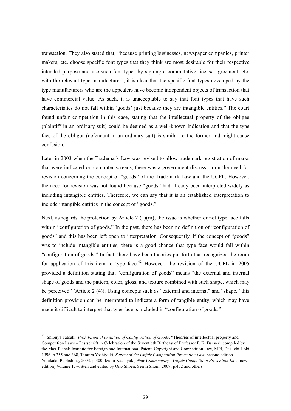transaction. They also stated that, "because printing businesses, newspaper companies, printer makers, etc. choose specific font types that they think are most desirable for their respective intended purpose and use such font types by signing a commutative license agreement, etc. with the relevant type manufacturers, it is clear that the specific font types developed by the type manufacturers who are the appealers have become independent objects of transaction that have commercial value. As such, it is unacceptable to say that font types that have such characteristics do not fall within 'goods' just because they are intangible entities." The court found unfair competition in this case, stating that the intellectual property of the obligee (plaintiff in an ordinary suit) could be deemed as a well-known indication and that the type face of the obligor (defendant in an ordinary suit) is similar to the former and might cause confusion.

Later in 2003 when the Trademark Law was revised to allow trademark registration of marks that were indicated on computer screens, there was a government discussion on the need for revision concerning the concept of "goods" of the Trademark Law and the UCPL. However, the need for revision was not found because "goods" had already been interpreted widely as including intangible entities. Therefore, we can say that it is an established interpretation to include intangible entities in the concept of "goods."

Next, as regards the protection by Article 2 (1)(iii), the issue is whether or not type face falls within "configuration of goods." In the past, there has been no definition of "configuration of goods" and this has been left open to interpretation. Consequently, if the concept of "goods" was to include intangible entities, there is a good chance that type face would fall within "configuration of goods." In fact, there have been theories put forth that recognized the room for application of this item to type face.<sup>42</sup> However, the revision of the UCPL in 2005 provided a definition stating that "configuration of goods" means "the external and internal shape of goods and the pattern, color, gloss, and texture combined with such shape, which may be perceived" (Article 2 (4)). Using concepts such as "external and internal" and "shape," this definition provision can be interpreted to indicate a form of tangible entity, which may have made it difficult to interpret that type face is included in "configuration of goods."

<sup>42</sup> Shibuya Tatsuki*, Prohibition of Imitation of Configuration of Goods*, "Theories of intellectual property and Competition Laws – Festschrift in Celebration of the Seventieth Birthday of Professor F. K. Baeyer" compiled by the Max-Planck-Institute for Foreign and International Patent, Copyright and Competition Law, MPI, Dai-Ichi Hoki, 1996, p.355 and 368, Tamura Yoshiyuki, *Survey of the Unfair Competition Prevention Law* [second edition], Yuhikaku Publishing, 2003, p.300, Izumi Katsuyuki*, New Commentary - Unfair Competition Prevention Law* [new edition] Volume 1, written and edited by Ono Shoen, Seirin Shoin, 2007, p.452 and others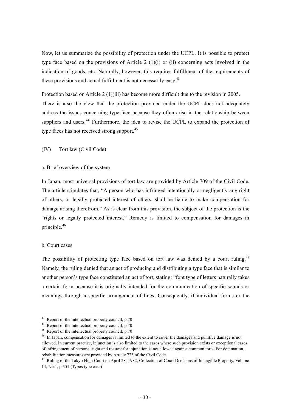Now, let us summarize the possibility of protection under the UCPL. It is possible to protect type face based on the provisions of Article 2  $(1)(i)$  or  $(ii)$  concerning acts involved in the indication of goods, etc. Naturally, however, this requires fulfillment of the requirements of these provisions and actual fulfillment is not necessarily easy.<sup>43</sup>

Protection based on Article 2 (1)(iii) has become more difficult due to the revision in 2005. There is also the view that the protection provided under the UCPL does not adequately address the issues concerning type face because they often arise in the relationship between suppliers and users.<sup>44</sup> Furthermore, the idea to revise the UCPL to expand the protection of type faces has not received strong support.<sup>45</sup>

(IV) Tort law (Civil Code)

a. Brief overview of the system

In Japan, most universal provisions of tort law are provided by Article 709 of the Civil Code. The article stipulates that, "A person who has infringed intentionally or negligently any right of others, or legally protected interest of others, shall be liable to make compensation for damage arising therefrom." As is clear from this provision, the subject of the protection is the "rights or legally protected interest." Remedy is limited to compensation for damages in principle.<sup>46</sup>

#### b. Court cases

-

The possibility of protecting type face based on tort law was denied by a court ruling.<sup>47</sup> Namely, the ruling denied that an act of producing and distributing a type face that is similar to another person's type face constituted an act of tort, stating: "font type of letters naturally takes a certain form because it is originally intended for the communication of specific sounds or meanings through a specific arrangement of lines. Consequently, if individual forms or the

 $43$  Report of the intellectual property council, p.70

<sup>&</sup>lt;sup>44</sup> Report of the intellectual property council, p.70

 $45$  Report of the intellectual property council, p.70

<sup>&</sup>lt;sup>46</sup> In Japan, compensation for damages is limited to the extent to cover the damages and punitive damage is not allowed. In current practice, injunction is also limited to the cases where such provision exists or exceptional cases of infringement of personal right and request for injunction is not allowed against common torts. For defamation, rehabilitation measures are provided by Article 723 of the Civil Code.

<sup>&</sup>lt;sup>47</sup> Ruling of the Tokyo High Court on April 28, 1982, Collection of Court Decisions of Intangible Property, Volume 14, No.1, p.351 (Typos type case)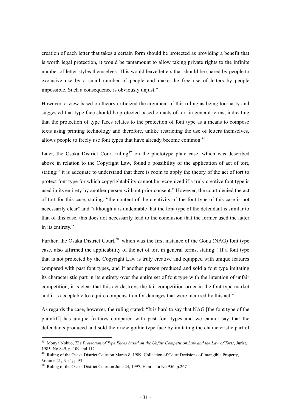creation of each letter that takes a certain form should be protected as providing a benefit that is worth legal protection, it would be tantamount to allow taking private rights to the infinite number of letter styles themselves. This would leave letters that should be shared by people to exclusive use by a small number of people and make the free use of letters by people impossible. Such a consequence is obviously unjust."

However, a view based on theory criticized the argument of this ruling as being too hasty and suggested that type face should be protected based on acts of tort in general terms, indicating that the protection of type faces relates to the protection of font type as a means to compose texts using printing technology and therefore, unlike restricting the use of letters themselves, allows people to freely use font types that have already become common.<sup>48</sup>

Later, the Osaka District Court ruling<sup>49</sup> on the phototype plate case, which was described above in relation to the Copyright Law, found a possibility of the application of act of tort, stating: "it is adequate to understand that there is room to apply the theory of the act of tort to protect font type for which copyrightability cannot be recognized if a truly creative font type is used in its entirety by another person without prior consent." However, the court denied the act of tort for this case, stating: "the content of the creativity of the font type of this case is not necessarily clear" and "although it is undeniable that the font type of the defendant is similar to that of this case, this does not necessarily lead to the conclusion that the former used the latter in its entirety."

Further, the Osaka District Court,<sup>50</sup> which was the first instance of the Gona (NAG) font type case, also affirmed the applicability of the act of tort in general terms, stating: "If a font type that is not protected by the Copyright Law is truly creative and equipped with unique features compared with past font types, and if another person produced and sold a font type imitating its characteristic part in its entirety over the entire set of font type with the intention of unfair competition, it is clear that this act destroys the fair competition order in the font type market and it is acceptable to require compensation for damages that were incurred by this act."

As regards the case, however, the ruling stated: "It is hard to say that NAG [the font type of the plaintiff] has unique features compared with past font types and we cannot say that the defendants produced and sold their new gothic type face by imitating the characteristic part of

<sup>48</sup> Monya Nobuo, *The Protection of Type Faces based on the Unfair Competition Law and the Law of Torts*, Jurist, 1985, No.849, p. 109 and 112

<sup>49</sup> Ruling of the Osaka District Court on March 8, 1989, Collection of Court Decisions of Intangible Property, Volume 21, No.1, p.93

 $50$  Ruling of the Osaka District Court on June 24, 1997. Hanrei Ta No. 956, p.267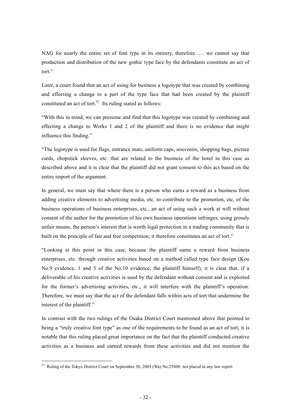NAG for nearly the entire set of font type in its entirety, therefore …. we cannot say that production and distribution of the new gothic type face by the defendants constitute an act of tort."

Later, a court found that an act of using for business a logotype that was created by combining and effecting a change to a part of the type face that had been created by the plaintiff constituted an act of tort. $51$  Its ruling stated as follows:

"With this in mind, we can presume and find that this logotype was created by combining and effecting a change to Works 1 and 2 of the plaintiff and there is no evidence that might influence this finding."

"The logotype is used for flags, entrance mats, uniform caps, souvenirs, shopping bags, picture cards, chopstick sleeves, etc. that are related to the business of the hotel in this case as described above and it is clear that the plaintiff did not grant consent to this act based on the entire import of the argument.

In general, we must say that where there is a person who earns a reward as a business from adding creative elements to advertising media, etc. to contribute to the promotion, etc, of the business operations of business enterprises, etc., an act of using such a work at will without consent of the author for the promotion of his own business operations infringes, using grossly unfair means, the person's interest that is worth legal protection in a trading community that is built on the principle of fair and free competition; it therefore constitutes an act of tort."

"Looking at this point in this case, because the plaintiff earns a reward from business enterprises, etc. through creative activities based on a method called type face design (Kou No.9 evidence, 1 and 3 of the No.10 evidence, the plaintiff himself), it is clear that, if a deliverable of his creative activities is used by the defendant without consent and is exploited for the former's advertising activities, etc., it will interfere with the plaintiff's operation. Therefore, we must say that the act of the defendant falls within acts of tort that undermine the interest of the plaintiff."

In contrast with the two rulings of the Osaka District Court mentioned above that pointed to being a "truly creative font type" as one of the requirements to be found as an act of tort, it is notable that this ruling placed great importance on the fact that the plaintiff conducted creative activities as a business and earned rewards from these activities and did not mention the

<sup>&</sup>lt;sup>51</sup> Ruling of the Tokyo District Court on September 30, 2005 (Wa) No.25800. not placed in any law report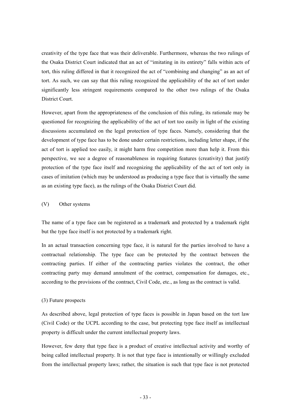creativity of the type face that was their deliverable. Furthermore, whereas the two rulings of the Osaka District Court indicated that an act of "imitating in its entirety" falls within acts of tort, this ruling differed in that it recognized the act of "combining and changing" as an act of tort. As such, we can say that this ruling recognized the applicability of the act of tort under significantly less stringent requirements compared to the other two rulings of the Osaka District Court.

However, apart from the appropriateness of the conclusion of this ruling, its rationale may be questioned for recognizing the applicability of the act of tort too easily in light of the existing discussions accumulated on the legal protection of type faces. Namely, considering that the development of type face has to be done under certain restrictions, including letter shape, if the act of tort is applied too easily, it might harm free competition more than help it. From this perspective, we see a degree of reasonableness in requiring features (creativity) that justify protection of the type face itself and recognizing the applicability of the act of tort only in cases of imitation (which may be understood as producing a type face that is virtually the same as an existing type face), as the rulings of the Osaka District Court did.

#### (V) Other systems

The name of a type face can be registered as a trademark and protected by a trademark right but the type face itself is not protected by a trademark right.

In an actual transaction concerning type face, it is natural for the parties involved to have a contractual relationship. The type face can be protected by the contract between the contracting parties. If either of the contracting parties violates the contract, the other contracting party may demand annulment of the contract, compensation for damages, etc., according to the provisions of the contract, Civil Code, etc., as long as the contract is valid.

#### (3) Future prospects

As described above, legal protection of type faces is possible in Japan based on the tort law (Civil Code) or the UCPL according to the case, but protecting type face itself as intellectual property is difficult under the current intellectual property laws.

However, few deny that type face is a product of creative intellectual activity and worthy of being called intellectual property. It is not that type face is intentionally or willingly excluded from the intellectual property laws; rather, the situation is such that type face is not protected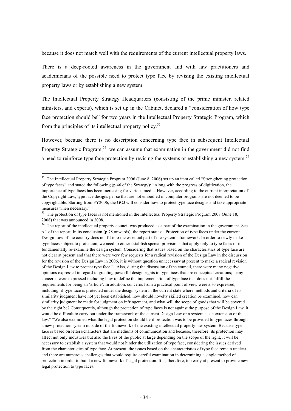because it does not match well with the requirements of the current intellectual property laws.

There is a deep-rooted awareness in the government and with law practitioners and academicians of the possible need to protect type face by revising the existing intellectual property laws or by establishing a new system.

The Intellectual Property Strategy Headquarters (consisting of the prime minister, related ministers, and experts), which is set up in the Cabinet, declared a "consideration of how type face protection should be" for two years in the Intellectual Property Strategic Program, which from the principles of its intellectual property policy.<sup>52</sup>

However, because there is no description concerning type face in subsequent Intellectual Property Strategic Program,<sup>53</sup> we can assume that examination in the government did not find a need to reinforce type face protection by revising the systems or establishing a new system.<sup>54</sup>

 $52$  The Intellectual Property Strategic Program 2006 (June 8, 2006) set up an item called "Strengthening protection of type faces" and stated the following (p.46 of the Strategy): "Along with the progress of digitization, the importance of type faces has been increasing for various media. However, according to the current interpretation of the Copyright Law, type face designs per se that are not embodied in computer programs are not deemed to be copyrightable. Starting from FY2006, the GOJ will consider how to protect type face designs and take appropriate measures when necessary."

<sup>&</sup>lt;sup>53</sup> The protection of type faces is not mentioned in the Intellectual Property Strategic Program 2008 (June 18, 2008) that was announced in 2008.

<sup>&</sup>lt;sup>54</sup> The report of the intellectual property council was produced as a part of the examination in the government. See p.1 of the report. In its conclusion (p.78 onwards), the report states: "Protection of type faces under the current Design Law of the country does not fit into the essential part of the system's framework. In order to newly make type faces subject to protection, we need to either establish special provisions that apply only to type faces or to fundamentally re-examine the design system. Considering that issues based on the characteristics of type face are not clear at present and that there were very few requests for a radical revision of the Design Law in the discussion for the revision of the Design Law in 2006, it is without question unnecessary at present to make a radical revision of the Design Law to protect type face." "Also, during the discussion of the council, there were many negative opinions expressed in regard to granting powerful design rights to type faces that are conceptual creations; many concerns were expressed including how to define the implementation of type face that does not fulfill the requirements for being an 'article'. In addition, concerns from a practical point of view were also expressed, including, if type face is protected under the design system in the current state where methods and criteria of its similarity judgment have not yet been established, how should novelty skilled creation be examined, how can similarity judgment be made for judgment on infringement, and what will the scope of goods that will be covered by the right be? Consequently, although the protection of type faces is not against the purpose of the Design Law, it would be difficult to carry out under the framework of the current Design Law or a system as an extension of the law." "We also examined what the legal protection should be if protection was to be provided to type faces through a new protection system outside of the framework of the existing intellectual property law system. Because type face is based on letters/characters that are mediums of communication and because, therefore, its protection may affect not only industries but also the lives of the public at large depending on the scope of the right, it will be necessary to establish a system that would not hinder the utilization of type face, considering the issues derived from the characteristics of type face. At present, the issues based on the characteristics of type face remain unclear and there are numerous challenges that would require careful examination in determining a single method of protection in order to build a new framework of legal protection. It is, therefore, too early at present to provide new legal protection to type faces."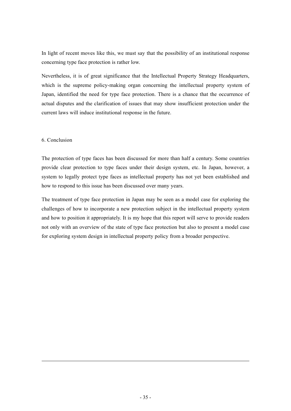In light of recent moves like this, we must say that the possibility of an institutional response concerning type face protection is rather low.

Nevertheless, it is of great significance that the Intellectual Property Strategy Headquarters, which is the supreme policy-making organ concerning the intellectual property system of Japan, identified the need for type face protection. There is a chance that the occurrence of actual disputes and the clarification of issues that may show insufficient protection under the current laws will induce institutional response in the future.

#### 6. Conclusion

-

The protection of type faces has been discussed for more than half a century. Some countries provide clear protection to type faces under their design system, etc. In Japan, however, a system to legally protect type faces as intellectual property has not yet been established and how to respond to this issue has been discussed over many years.

The treatment of type face protection in Japan may be seen as a model case for exploring the challenges of how to incorporate a new protection subject in the intellectual property system and how to position it appropriately. It is my hope that this report will serve to provide readers not only with an overview of the state of type face protection but also to present a model case for exploring system design in intellectual property policy from a broader perspective.